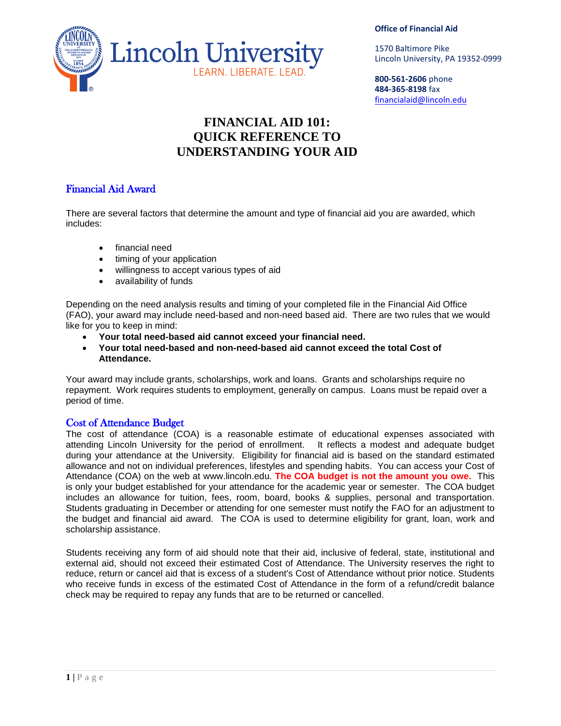

#### **Office of Financial Aid**

1570 Baltimore Pike Lincoln University, PA 19352-0999

**800-561-2606** phone **484-365-8198** fax financialaid@lincoln.edu

# **FINANCIAL AID 101: QUICK REFERENCE TO UNDERSTANDING YOUR AID**

# Financial Aid Award

There are several factors that determine the amount and type of financial aid you are awarded, which includes:

- financial need
- timing of your application
- willingness to accept various types of aid
- availability of funds

Depending on the need analysis results and timing of your completed file in the Financial Aid Office (FAO), your award may include need-based and non-need based aid. There are two rules that we would like for you to keep in mind:

- **Your total need-based aid cannot exceed your financial need.**
- **Your total need-based and non-need-based aid cannot exceed the total Cost of Attendance.**

Your award may include grants, scholarships, work and loans. Grants and scholarships require no repayment. Work requires students to employment, generally on campus. Loans must be repaid over a period of time.

# Cost of Attendance Budget

The cost of attendance (COA) is a reasonable estimate of educational expenses associated with attending Lincoln University for the period of enrollment. It reflects a modest and adequate budget during your attendance at the University. Eligibility for financial aid is based on the standard estimated allowance and not on individual preferences, lifestyles and spending habits. You can access your Cost of Attendance (COA) on the web at www.lincoln.edu. **The COA budget is not the amount you owe.** This is only your budget established for your attendance for the academic year or semester. The COA budget includes an allowance for tuition, fees, room, board, books & supplies, personal and transportation. Students graduating in December or attending for one semester must notify the FAO for an adjustment to the budget and financial aid award. The COA is used to determine eligibility for grant, loan, work and scholarship assistance.

Students receiving any form of aid should note that their aid, inclusive of federal, state, institutional and external aid, should not exceed their estimated Cost of Attendance. The University reserves the right to reduce, return or cancel aid that is excess of a student's Cost of Attendance without prior notice. Students who receive funds in excess of the estimated Cost of Attendance in the form of a refund/credit balance check may be required to repay any funds that are to be returned or cancelled.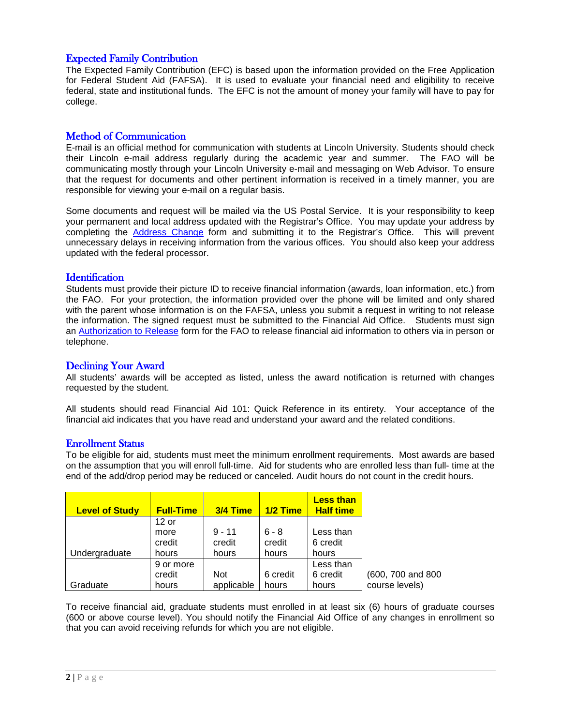# Expected Family Contribution

The Expected Family Contribution (EFC) is based upon the information provided on the Free Application for Federal Student Aid (FAFSA). It is used to evaluate your financial need and eligibility to receive federal, state and institutional funds. The EFC is not the amount of money your family will have to pay for college.

# Method of Communication

E-mail is an official method for communication with students at Lincoln University. Students should check their Lincoln e-mail address regularly during the academic year and summer. The FAO will be communicating mostly through your Lincoln University e-mail and messaging on Web Advisor. To ensure that the request for documents and other pertinent information is received in a timely manner, you are responsible for viewing your e-mail on a regular basis.

Some documents and request will be mailed via the US Postal Service. It is your responsibility to keep your permanent and local address updated with the Registrar's Office. You may update your address by completing the **[Address Change](http://www.lincoln.edu/registrar/AddressInfo.pdf)** form and submitting it to the Registrar's Office. This will prevent unnecessary delays in receiving information from the various offices. You should also keep your address updated with the federal processor.

### **Identification**

Students must provide their picture ID to receive financial information (awards, loan information, etc.) from the FAO. For your protection, the information provided over the phone will be limited and only shared with the parent whose information is on the FAFSA, unless you submit a request in writing to not release the information. The signed request must be submitted to the Financial Aid Office. Students must sign an [Authorization to Release](http://www.lincoln/edu/financialaid/12-13authorizationrelase.pdf) form for the FAO to release financial aid information to others via in person or telephone.

### Declining Your Award

All students' awards will be accepted as listed, unless the award notification is returned with changes requested by the student.

All students should read Financial Aid 101: Quick Reference in its entirety. Your acceptance of the financial aid indicates that you have read and understand your award and the related conditions.

### Enrollment Status

To be eligible for aid, students must meet the minimum enrollment requirements. Most awards are based on the assumption that you will enroll full-time. Aid for students who are enrolled less than full- time at the end of the add/drop period may be reduced or canceled. Audit hours do not count in the credit hours.

| <b>Level of Study</b> | <b>Full-Time</b> | 3/4 Time   | $1/2$ Time | <b>Less than</b><br><b>Half time</b> |                   |
|-----------------------|------------------|------------|------------|--------------------------------------|-------------------|
|                       | $12$ or          |            |            |                                      |                   |
|                       | more             | $9 - 11$   | $6 - 8$    | Less than                            |                   |
|                       | credit           | credit     | credit     | 6 credit                             |                   |
| Undergraduate         | hours            | hours      | hours      | hours                                |                   |
|                       | 9 or more        |            |            | Less than                            |                   |
|                       | credit           | <b>Not</b> | 6 credit   | 6 credit                             | (600, 700 and 800 |
| Graduate              | hours            | applicable | hours      | hours                                | course levels)    |

To receive financial aid, graduate students must enrolled in at least six (6) hours of graduate courses (600 or above course level). You should notify the Financial Aid Office of any changes in enrollment so that you can avoid receiving refunds for which you are not eligible.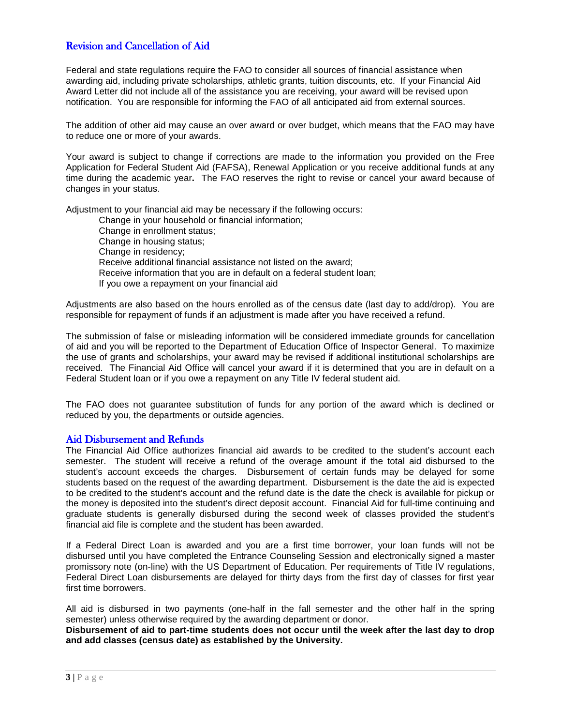# Revision and Cancellation of Aid

Federal and state regulations require the FAO to consider all sources of financial assistance when awarding aid, including private scholarships, athletic grants, tuition discounts, etc. If your Financial Aid Award Letter did not include all of the assistance you are receiving, your award will be revised upon notification. You are responsible for informing the FAO of all anticipated aid from external sources.

The addition of other aid may cause an over award or over budget, which means that the FAO may have to reduce one or more of your awards.

Your award is subject to change if corrections are made to the information you provided on the Free Application for Federal Student Aid (FAFSA), Renewal Application or you receive additional funds at any time during the academic year**.** The FAO reserves the right to revise or cancel your award because of changes in your status.

Adjustment to your financial aid may be necessary if the following occurs:

Change in your household or financial information; Change in enrollment status; Change in housing status; Change in residency; Receive additional financial assistance not listed on the award; Receive information that you are in default on a federal student loan; If you owe a repayment on your financial aid

Adjustments are also based on the hours enrolled as of the census date (last day to add/drop). You are responsible for repayment of funds if an adjustment is made after you have received a refund.

The submission of false or misleading information will be considered immediate grounds for cancellation of aid and you will be reported to the Department of Education Office of Inspector General. To maximize the use of grants and scholarships, your award may be revised if additional institutional scholarships are received. The Financial Aid Office will cancel your award if it is determined that you are in default on a Federal Student loan or if you owe a repayment on any Title IV federal student aid.

The FAO does not guarantee substitution of funds for any portion of the award which is declined or reduced by you, the departments or outside agencies.

### Aid Disbursement and Refunds

The Financial Aid Office authorizes financial aid awards to be credited to the student's account each semester. The student will receive a refund of the overage amount if the total aid disbursed to the student's account exceeds the charges. Disbursement of certain funds may be delayed for some students based on the request of the awarding department. Disbursement is the date the aid is expected to be credited to the student's account and the refund date is the date the check is available for pickup or the money is deposited into the student's direct deposit account. Financial Aid for full-time continuing and graduate students is generally disbursed during the second week of classes provided the student's financial aid file is complete and the student has been awarded.

If a Federal Direct Loan is awarded and you are a first time borrower, your loan funds will not be disbursed until you have completed the Entrance Counseling Session and electronically signed a master promissory note (on-line) with the US Department of Education. Per requirements of Title IV regulations, Federal Direct Loan disbursements are delayed for thirty days from the first day of classes for first year first time borrowers.

All aid is disbursed in two payments (one-half in the fall semester and the other half in the spring semester) unless otherwise required by the awarding department or donor.

**Disbursement of aid to part-time students does not occur until the week after the last day to drop and add classes (census date) as established by the University.**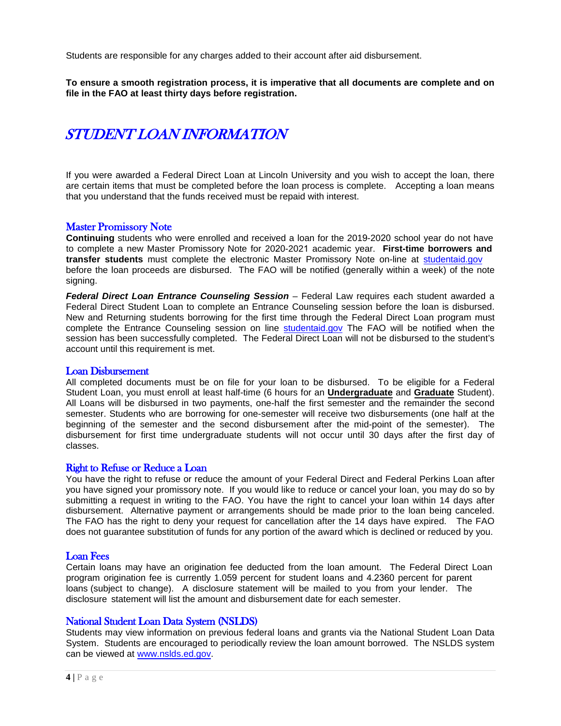Students are responsible for any charges added to their account after aid disbursement.

**To ensure a smooth registration process, it is imperative that all documents are complete and on file in the FAO at least thirty days before registration.**

# STUDENT LOAN INFORMATION

If you were awarded a Federal Direct Loan at Lincoln University and you wish to accept the loan, there are certain items that must be completed before the loan process is complete. Accepting a loan means that you understand that the funds received must be repaid with interest.

### Master Promissory Note

**Continuing** students who were enrolled and received a loan for the 2019-2020 school year do not have to complete a new Master Promissory Note for 2020-2021 academic year. **First-time borrowers and transfer students** must complete the electronic Master Promissory Note on-line at [student](https://studentloans.gov/)aid.gov before the loan proceeds are disbursed. The FAO will be notified (generally within a week) of the note signing.

*Federal Direct Loan Entrance Counseling Session* – Federal Law requires each student awarded a Federal Direct Student Loan to complete an Entrance Counseling session before the loan is disbursed. New and Returning students borrowing for the first time through the Federal Direct Loan program must complete the Entrance Counseling session on line [student](http://studentloans.gov/)aid.gov The FAO will be notified when the session has been successfully completed. The Federal Direct Loan will not be disbursed to the student's account until this requirement is met.

### Loan Disbursement

All completed documents must be on file for your loan to be disbursed. To be eligible for a Federal Student Loan, you must enroll at least half-time (6 hours for an **Undergraduate** and **Graduate** Student). All Loans will be disbursed in two payments, one-half the first semester and the remainder the second semester. Students who are borrowing for one-semester will receive two disbursements (one half at the beginning of the semester and the second disbursement after the mid-point of the semester). The disbursement for first time undergraduate students will not occur until 30 days after the first day of classes.

### Right to Refuse or Reduce a Loan

You have the right to refuse or reduce the amount of your Federal Direct and Federal Perkins Loan after you have signed your promissory note. If you would like to reduce or cancel your loan, you may do so by submitting a request in writing to the FAO. You have the right to cancel your loan within 14 days after disbursement. Alternative payment or arrangements should be made prior to the loan being canceled. The FAO has the right to deny your request for cancellation after the 14 days have expired. The FAO does not guarantee substitution of funds for any portion of the award which is declined or reduced by you.

### Loan Fees

Certain loans may have an origination fee deducted from the loan amount. The Federal Direct Loan program origination fee is currently 1.059 percent for student loans and 4.2360 percent for parent loans (subject to change). A disclosure statement will be mailed to you from your lender. The disclosure statement will list the amount and disbursement date for each semester.

### National Student Loan Data System (NSLDS)

Students may view information on previous federal loans and grants via the National Student Loan Data System. Students are encouraged to periodically review the loan amount borrowed. The NSLDS system can be viewed at [www.nslds.ed.gov.](http://www.nslds.ed.gov/)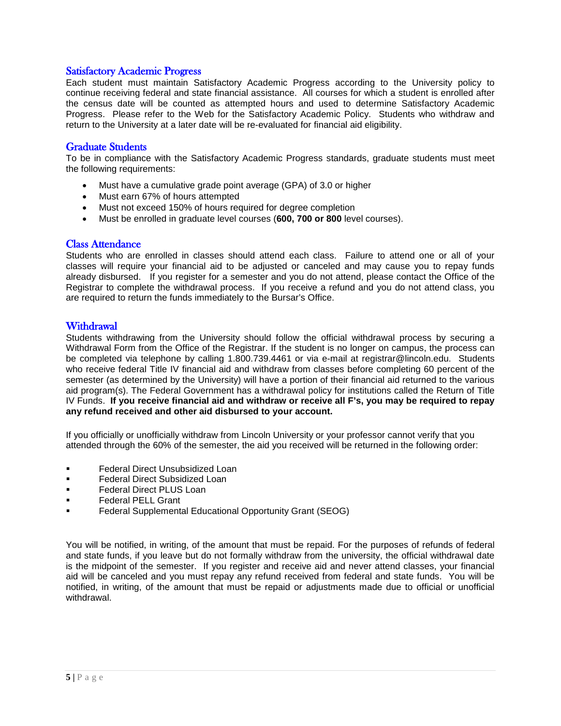# Satisfactory Academic Progress

Each student must maintain Satisfactory Academic Progress according to the University policy to continue receiving federal and state financial assistance. All courses for which a student is enrolled after the census date will be counted as attempted hours and used to determine Satisfactory Academic Progress. Please refer to the Web for the Satisfactory Academic Policy. Students who withdraw and return to the University at a later date will be re-evaluated for financial aid eligibility.

# Graduate Students

To be in compliance with the Satisfactory Academic Progress standards, graduate students must meet the following requirements:

- Must have a cumulative grade point average (GPA) of 3.0 or higher
- Must earn 67% of hours attempted
- Must not exceed 150% of hours required for degree completion
- Must be enrolled in graduate level courses (**600, 700 or 800** level courses).

### Class Attendance

Students who are enrolled in classes should attend each class. Failure to attend one or all of your classes will require your financial aid to be adjusted or canceled and may cause you to repay funds already disbursed. If you register for a semester and you do not attend, please contact the Office of the Registrar to complete the withdrawal process. If you receive a refund and you do not attend class, you are required to return the funds immediately to the Bursar's Office.

# **Withdrawal**

Students withdrawing from the University should follow the official withdrawal process by securing a Withdrawal Form from the Office of the Registrar. If the student is no longer on campus, the process can be completed via telephone by calling 1.800.739.4461 or via e-mail at registrar@lincoln.edu. Students who receive federal Title IV financial aid and withdraw from classes before completing 60 percent of the semester (as determined by the University) will have a portion of their financial aid returned to the various aid program(s). The Federal Government has a withdrawal policy for institutions called the Return of Title IV Funds. **If you receive financial aid and withdraw or receive all F's, you may be required to repay any refund received and other aid disbursed to your account.** 

If you officially or unofficially withdraw from Lincoln University or your professor cannot verify that you attended through the 60% of the semester, the aid you received will be returned in the following order:

- **Federal Direct Unsubsidized Loan**
- Federal Direct Subsidized Loan
- Federal Direct PLUS Loan
- Federal PELL Grant
- Federal Supplemental Educational Opportunity Grant (SEOG)

You will be notified, in writing, of the amount that must be repaid. For the purposes of refunds of federal and state funds, if you leave but do not formally withdraw from the university, the official withdrawal date is the midpoint of the semester. If you register and receive aid and never attend classes, your financial aid will be canceled and you must repay any refund received from federal and state funds. You will be notified, in writing, of the amount that must be repaid or adjustments made due to official or unofficial withdrawal.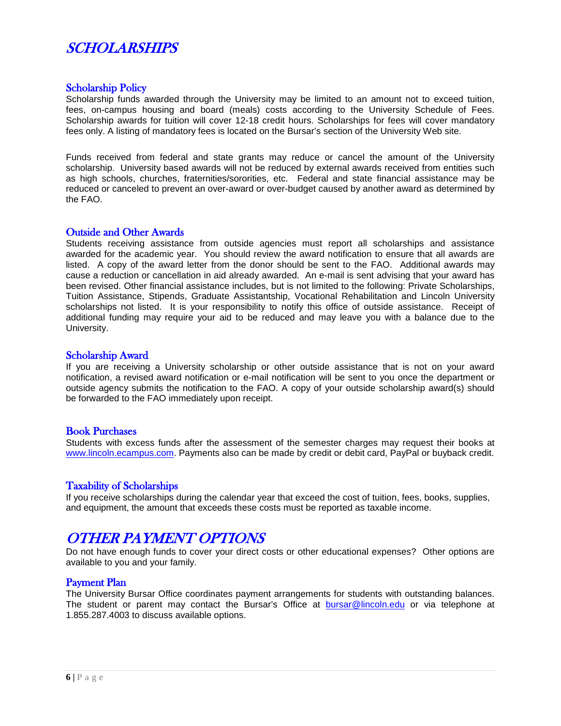# **SCHOLARSHIPS**

### Scholarship Policy

Scholarship funds awarded through the University may be limited to an amount not to exceed tuition, fees, on-campus housing and board (meals) costs according to the University Schedule of Fees. Scholarship awards for tuition will cover 12-18 credit hours. Scholarships for fees will cover mandatory fees only. A listing of mandatory fees is located on the Bursar's section of the University Web site.

Funds received from federal and state grants may reduce or cancel the amount of the University scholarship. University based awards will not be reduced by external awards received from entities such as high schools, churches, fraternities/sororities, etc. Federal and state financial assistance may be reduced or canceled to prevent an over-award or over-budget caused by another award as determined by the FAO.

### Outside and Other Awards

Students receiving assistance from outside agencies must report all scholarships and assistance awarded for the academic year. You should review the award notification to ensure that all awards are listed. A copy of the award letter from the donor should be sent to the FAO. Additional awards may cause a reduction or cancellation in aid already awarded. An e-mail is sent advising that your award has been revised. Other financial assistance includes, but is not limited to the following: Private Scholarships, Tuition Assistance, Stipends, Graduate Assistantship, Vocational Rehabilitation and Lincoln University scholarships not listed. It is your responsibility to notify this office of outside assistance. Receipt of additional funding may require your aid to be reduced and may leave you with a balance due to the University.

### Scholarship Award

If you are receiving a University scholarship or other outside assistance that is not on your award notification, a revised award notification or e-mail notification will be sent to you once the department or outside agency submits the notification to the FAO. A copy of your outside scholarship award(s) should be forwarded to the FAO immediately upon receipt.

### Book Purchases

Students with excess funds after the assessment of the semester charges may request their books at [www.lincoln.ecampus.com.](http://www.lincoln.ecampus.com/) Payments also can be made by credit or debit card, PayPal or buyback credit.

### Taxability of Scholarships

If you receive scholarships during the calendar year that exceed the cost of tuition, fees, books, supplies, and equipment, the amount that exceeds these costs must be reported as taxable income.

# OTHER PAYMENT OPTIONS

Do not have enough funds to cover your direct costs or other educational expenses? Other options are available to you and your family.

### Payment Plan

The University Bursar Office coordinates payment arrangements for students with outstanding balances. The student or parent may contact the Bursar's Office at [bursar@lincoln.edu](mailto:bursar@lincoln.edu) or via telephone at 1.855.287.4003 to discuss available options.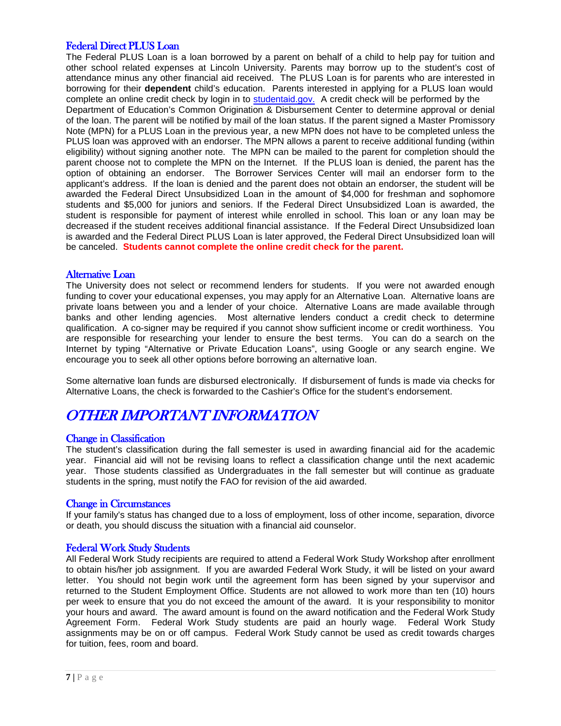# Federal Direct PLUS Loan

The Federal PLUS Loan is a loan borrowed by a parent on behalf of a child to help pay for tuition and other school related expenses at Lincoln University. Parents may borrow up to the student's cost of attendance minus any other financial aid received. The PLUS Loan is for parents who are interested in borrowing for their **dependent** child's education. Parents interested in applying for a PLUS loan would complete an online credit check by login in t[o student](http://studentloans.com/)aid.gov. A credit check will be performed by the Department of Education's Common Origination & Disbursement Center to determine approval or denial of the loan. The parent will be notified by mail of the loan status. If the parent signed a Master Promissory Note (MPN) for a PLUS Loan in the previous year, a new MPN does not have to be completed unless the PLUS loan was approved with an endorser. The MPN allows a parent to receive additional funding (within eligibility) without signing another note. The MPN can be mailed to the parent for completion should the parent choose not to complete the MPN on the Internet. If the PLUS loan is denied, the parent has the option of obtaining an endorser. The Borrower Services Center will mail an endorser form to the applicant's address. If the loan is denied and the parent does not obtain an endorser, the student will be awarded the Federal Direct Unsubsidized Loan in the amount of \$4,000 for freshman and sophomore students and \$5,000 for juniors and seniors. If the Federal Direct Unsubsidized Loan is awarded, the student is responsible for payment of interest while enrolled in school. This loan or any loan may be decreased if the student receives additional financial assistance. If the Federal Direct Unsubsidized loan is awarded and the Federal Direct PLUS Loan is later approved, the Federal Direct Unsubsidized loan will be canceled. **Students cannot complete the online credit check for the parent.**

### Alternative Loan

The University does not select or recommend lenders for students. If you were not awarded enough funding to cover your educational expenses, you may apply for an Alternative Loan. Alternative loans are private loans between you and a lender of your choice. Alternative Loans are made available through banks and other lending agencies. Most alternative lenders conduct a credit check to determine qualification. A co-signer may be required if you cannot show sufficient income or credit worthiness. You are responsible for researching your lender to ensure the best terms. You can do a search on the Internet by typing "Alternative or Private Education Loans", using Google or any search engine. We encourage you to seek all other options before borrowing an alternative loan.

Some alternative loan funds are disbursed electronically. If disbursement of funds is made via checks for Alternative Loans, the check is forwarded to the Cashier's Office for the student's endorsement.

# OTHER IMPORTANT INFORMATION

### Change in Classification

The student's classification during the fall semester is used in awarding financial aid for the academic year. Financial aid will not be revising loans to reflect a classification change until the next academic year. Those students classified as Undergraduates in the fall semester but will continue as graduate students in the spring, must notify the FAO for revision of the aid awarded.

### Change in Circumstances

If your family's status has changed due to a loss of employment, loss of other income, separation, divorce or death, you should discuss the situation with a financial aid counselor.

### Federal Work Study Students

All Federal Work Study recipients are required to attend a Federal Work Study Workshop after enrollment to obtain his/her job assignment. If you are awarded Federal Work Study, it will be listed on your award letter. You should not begin work until the agreement form has been signed by your supervisor and returned to the Student Employment Office. Students are not allowed to work more than ten (10) hours per week to ensure that you do not exceed the amount of the award. It is your responsibility to monitor your hours and award. The award amount is found on the award notification and the Federal Work Study Agreement Form. Federal Work Study students are paid an hourly wage. Federal Work Study assignments may be on or off campus. Federal Work Study cannot be used as credit towards charges for tuition, fees, room and board.